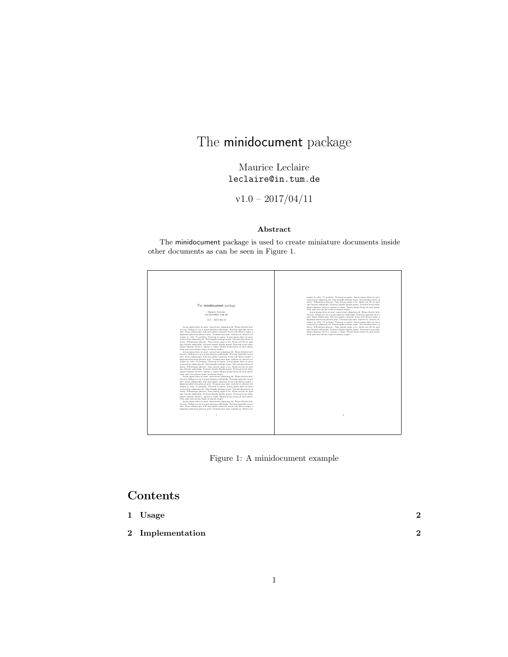# The minidocument package

Maurice Leclaire leclaire@in.tum.de

 $v1.0 - 2017/04/11$ 

#### Abstract

The minidocument package is used to create miniature documents inside other documents as can be seen in Figure 1.





# Contents

| 1 Usage          | ച |
|------------------|---|
| 2 Implementation | ົ |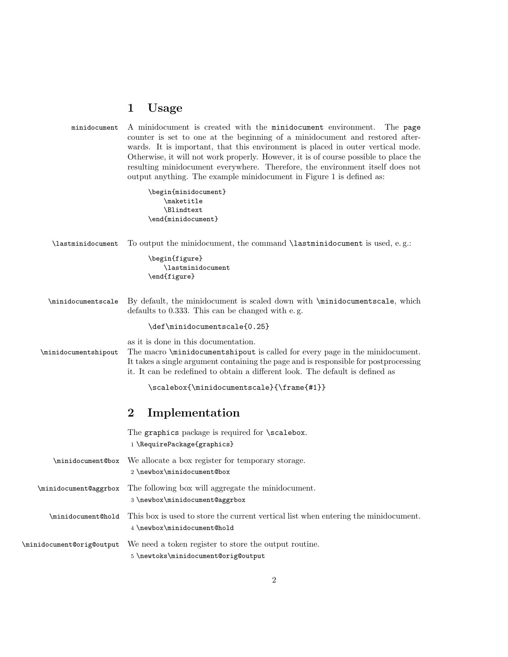#### 1 Usage

| minidocument A minidocument is created with the minidocument environment. The page   |
|--------------------------------------------------------------------------------------|
| counter is set to one at the beginning of a minidocument and restored after-         |
| wards. It is important, that this environment is placed in outer vertical mode.      |
| Otherwise, it will not work properly. However, it is of course possible to place the |
| resulting minidocument everywhere. Therefore, the environment itself does not        |
| output anything. The example minidocument in Figure 1 is defined as:                 |

\begin{minidocument} \maketitle \Blindtext \end{minidocument}

\lastminidocument To output the minidocument, the command \lastminidocument is used, e. g.: \begin{figure} \lastminidocument \end{figure} \minidocumentscale By default, the minidocument is scaled down with \minidocumentscale, which defaults to 0.333. This can be changed with e. g. \def\minidocumentscale{0.25} as it is done in this documentation. \minidocumentshipout The macro \minidocumentshipout is called for every page in the minidocument. It takes a single argument containing the page and is responsible for postprocessing it. It can be redefined to obtain a different look. The default is defined as \scalebox{\minidocumentscale}{\frame{#1}}

### 2 Implementation

The graphics package is required for **\scalebox**. 1 \RequirePackage{graphics} \minidocument@box We allocate a box register for temporary storage. 2 \newbox\minidocument@box \minidocument@aggrbox The following box will aggregate the minidocument. 3 \newbox\minidocument@aggrbox \minidocument@hold This box is used to store the current vertical list when entering the minidocument. 4 \newbox\minidocument@hold \minidocument@orig@output We need a token register to store the output routine. 5 \newtoks\minidocument@orig@output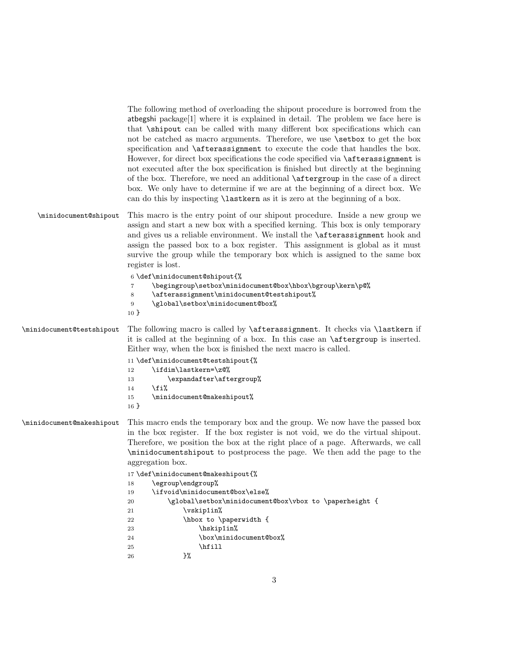|                           | The following method of overloading the shipout procedure is borrowed from the<br>atbegshi package[1] where it is explained in detail. The problem we face here is<br>that <i>shipout</i> can be called with many different box specifications which can<br>not be catched as macro arguments. Therefore, we use <b>\setbox</b> to get the box<br>specification and \afterassignment to execute the code that handles the box.<br>However, for direct box specifications the code specified via \afterassignment is<br>not executed after the box specification is finished but directly at the beginning<br>of the box. Therefore, we need an additional <b>\aftergroup</b> in the case of a direct<br>box. We only have to determine if we are at the beginning of a direct box. We<br>can do this by inspecting <b>\lastkern</b> as it is zero at the beginning of a box. |  |  |  |  |
|---------------------------|------------------------------------------------------------------------------------------------------------------------------------------------------------------------------------------------------------------------------------------------------------------------------------------------------------------------------------------------------------------------------------------------------------------------------------------------------------------------------------------------------------------------------------------------------------------------------------------------------------------------------------------------------------------------------------------------------------------------------------------------------------------------------------------------------------------------------------------------------------------------------|--|--|--|--|
| \minidocument@shipout     | This macro is the entry point of our shipout procedure. Inside a new group we<br>assign and start a new box with a specified kerning. This box is only temporary<br>and gives us a reliable environment. We install the <b>\afterassignment</b> hook and<br>assign the passed box to a box register. This assignment is global as it must<br>survive the group while the temporary box which is assigned to the same box<br>register is lost.<br>6 \def\minidocument@shipout{%                                                                                                                                                                                                                                                                                                                                                                                               |  |  |  |  |
|                           | \begingroup\setbox\minidocument@box\hbox\bgroup\kern\p@%<br>7<br>\afterassignment\minidocument@testshipout%<br>8<br>\global\setbox\minidocument@box%<br>9<br>$10 \}$                                                                                                                                                                                                                                                                                                                                                                                                                                                                                                                                                                                                                                                                                                         |  |  |  |  |
| \minidocument@testshipout | The following macro is called by <b>\afterassignment</b> . It checks via <b>\lastkern</b> if<br>it is called at the beginning of a box. In this case an <i>aftergroup</i> is inserted.<br>Either way, when the box is finished the next macro is called.                                                                                                                                                                                                                                                                                                                                                                                                                                                                                                                                                                                                                     |  |  |  |  |
|                           | 11 \def\minidocument@testshipout{%<br>\ifdim\lastkern=\z@%<br>12<br>\expandafter\aftergroup%<br>13<br>\fi%<br>14<br>\minidocument@makeshipout%<br>15                                                                                                                                                                                                                                                                                                                                                                                                                                                                                                                                                                                                                                                                                                                         |  |  |  |  |
|                           | $16 \}$                                                                                                                                                                                                                                                                                                                                                                                                                                                                                                                                                                                                                                                                                                                                                                                                                                                                      |  |  |  |  |
| \minidocument@makeshipout | This macro ends the temporary box and the group. We now have the passed box<br>in the box register. If the box register is not void, we do the virtual shipout.<br>Therefore, we position the box at the right place of a page. Afterwards, we call<br>\minidocumentshipout to postprocess the page. We then add the page to the<br>aggregation box.                                                                                                                                                                                                                                                                                                                                                                                                                                                                                                                         |  |  |  |  |
|                           | 17 \def\minidocument@makeshipout{%                                                                                                                                                                                                                                                                                                                                                                                                                                                                                                                                                                                                                                                                                                                                                                                                                                           |  |  |  |  |
|                           | \egroup\endgroup%<br>18<br>\ifvoid\minidocument@box\else%<br>19                                                                                                                                                                                                                                                                                                                                                                                                                                                                                                                                                                                                                                                                                                                                                                                                              |  |  |  |  |
|                           | \global\setbox\minidocument@box\vbox to \paperheight {<br>20                                                                                                                                                                                                                                                                                                                                                                                                                                                                                                                                                                                                                                                                                                                                                                                                                 |  |  |  |  |
|                           | \vskip1in%<br>21                                                                                                                                                                                                                                                                                                                                                                                                                                                                                                                                                                                                                                                                                                                                                                                                                                                             |  |  |  |  |
|                           | \hbox to \paperwidth {<br>22<br>\hskip1in%<br>23                                                                                                                                                                                                                                                                                                                                                                                                                                                                                                                                                                                                                                                                                                                                                                                                                             |  |  |  |  |
|                           | \box\minidocument@box%<br>24                                                                                                                                                                                                                                                                                                                                                                                                                                                                                                                                                                                                                                                                                                                                                                                                                                                 |  |  |  |  |
|                           | \hfill<br>25                                                                                                                                                                                                                                                                                                                                                                                                                                                                                                                                                                                                                                                                                                                                                                                                                                                                 |  |  |  |  |
|                           | }‰<br>26                                                                                                                                                                                                                                                                                                                                                                                                                                                                                                                                                                                                                                                                                                                                                                                                                                                                     |  |  |  |  |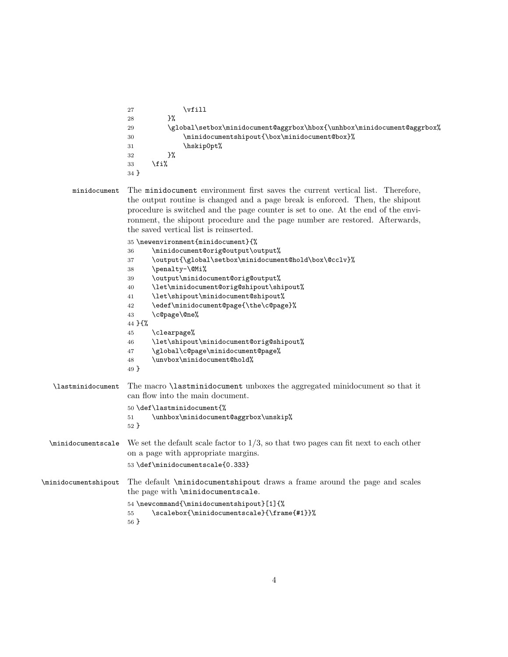| 27 |      | vfill                                                                   |
|----|------|-------------------------------------------------------------------------|
| 28 | }%   |                                                                         |
| 29 |      | \global\setbox\minidocument@aggrbox\hbox{\unhbox\minidocument@aggrbox%\ |
| 30 |      | \minidocumentshipout{\box\minidocument@box}%                            |
| 31 |      | \hskip0pt%                                                              |
| 32 | ን%   |                                                                         |
| 33 | \fi% |                                                                         |
| 34 |      |                                                                         |

minidocument The minidocument environment first saves the current vertical list. Therefore, the output routine is changed and a page break is enforced. Then, the shipout procedure is switched and the page counter is set to one. At the end of the environment, the shipout procedure and the page number are restored. Afterwards, the saved vertical list is reinserted.  $35 \text{ hours}$ 

|                                 | 35 \newenvironment{minidocument}{%                                                                                             |
|---------------------------------|--------------------------------------------------------------------------------------------------------------------------------|
|                                 | \minidocument@orig@output\output%<br>36                                                                                        |
|                                 | \output{\global\setbox\minidocument@hold\box\@cclv}%<br>37                                                                     |
|                                 | \penalty-\@Mi%<br>38                                                                                                           |
|                                 | \output\minidocument@orig@output%<br>39                                                                                        |
|                                 | \let\minidocument@orig@shipout\shipout%<br>40                                                                                  |
|                                 | \let\shipout\minidocument@shipout%<br>41                                                                                       |
|                                 | \edef\minidocument@page{\the\c@page}%<br>42                                                                                    |
|                                 | \c@page\@ne%<br>43                                                                                                             |
|                                 | 44 } {%                                                                                                                        |
|                                 | \clearpage%<br>45                                                                                                              |
|                                 | \let\shipout\minidocument@orig@shipout%<br>46                                                                                  |
|                                 | \global\c@page\minidocument@page%<br>47                                                                                        |
|                                 | \unvbox\minidocument@hold%<br>48                                                                                               |
|                                 | 49 }                                                                                                                           |
| <i><b>\lastminidocument</b></i> | The macro <i>lastminidocument</i> unboxes the aggregated minidocument so that it<br>can flow into the main document.           |
|                                 | 50 \def\lastminidocument{%                                                                                                     |
|                                 | \unhbox\minidocument@aggrbox\unskip%<br>51                                                                                     |
|                                 | $52$ }                                                                                                                         |
| \minidocumentscale              | We set the default scale factor to $1/3$ , so that two pages can fit next to each other<br>on a page with appropriate margins. |
|                                 | 53\def\minidocumentscale{0.333}                                                                                                |
| \minidocumentshipout            | The default \minidocumentshipout draws a frame around the page and scales<br>the page with \minidocumentscale.                 |
|                                 | 54 \newcommand{\minidocumentshipout}[1]{%<br>\scalebox{\minidocumentscale}{\frame{#1}}%<br>55<br>$56$ }                        |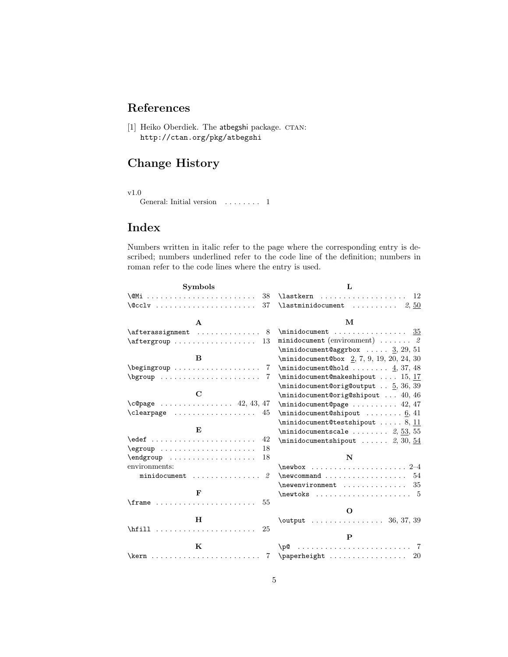# References

[1] Heiko Oberdiek. The atbegshi package. CTAN: http://ctan.org/pkg/atbegshi

## Change History

v1.0

General: Initial version . . . . . . . . 1

# Index

Numbers written in italic refer to the page where the corresponding entry is described; numbers underlined refer to the code line of the definition; numbers in roman refer to the code lines where the entry is used.

| <b>Symbols</b>                                    | L                                                                                                                                                                                                                                                                        |
|---------------------------------------------------|--------------------------------------------------------------------------------------------------------------------------------------------------------------------------------------------------------------------------------------------------------------------------|
| 38                                                | 12                                                                                                                                                                                                                                                                       |
| 37                                                | $\lambda$ astminidocument  2,50                                                                                                                                                                                                                                          |
| $\mathbf{A}$                                      | м                                                                                                                                                                                                                                                                        |
| $\dagger$ \afterassignment<br>8                   | $\mathcal{S}_5$                                                                                                                                                                                                                                                          |
| $\dagger$ \aftergroup<br>13                       | minidocument (environment) $\ldots$ 2                                                                                                                                                                                                                                    |
|                                                   | $\minidocument@aggrbox \ldots 3, 29, 51$                                                                                                                                                                                                                                 |
| B                                                 | \minidocument@box 2, 7, 9, 19, 20, 24, 30                                                                                                                                                                                                                                |
| $\begin{array}{c} \text{begin} \end{array}$<br>-7 | $\minidocument@hold \ldots \ldots \underline{4}, 37, 48$                                                                                                                                                                                                                 |
| 7                                                 | $\minidocument@makeshipout \ldots 15, 17$                                                                                                                                                                                                                                |
|                                                   | $\minidocument@orig@output$ 5, 36, 39                                                                                                                                                                                                                                    |
| $\mathbf C$                                       | \minidocument@orig@shipout  40, 46                                                                                                                                                                                                                                       |
| $\c{qpage \dots \dots \dots \dots 42, 43, 47}$    | $\minidocument@page \ldots 42, 47$                                                                                                                                                                                                                                       |
| $\text{Clearpage} \dots \dots \dots \dots$<br>45  | $\minidocument@shipout \ldots 6, 41$                                                                                                                                                                                                                                     |
|                                                   | $\minidocument@testshipout \ldots 8, 11$                                                                                                                                                                                                                                 |
| E,                                                | $\lq$ minidocumentscale $2, 53, 55$                                                                                                                                                                                                                                      |
| 42                                                | $\minidocumentshipout$ 2, 30, 54                                                                                                                                                                                                                                         |
| 18                                                |                                                                                                                                                                                                                                                                          |
| 18<br>\endgroup                                   | N                                                                                                                                                                                                                                                                        |
| environments:                                     |                                                                                                                                                                                                                                                                          |
| $\mathfrak{D}$                                    | 54                                                                                                                                                                                                                                                                       |
|                                                   | $\neq$ $\neq$ $\neq$ $\neq$ $\neq$ $\neq$ $\neq$ $\neq$ $\neq$ $\neq$ $\neq$ $\neq$ $\neq$ $\neq$ $\neq$ $\neq$ $\neq$ $\neq$ $\neq$ $\neq$ $\neq$ $\neq$ $\neq$ $\neq$ $\neq$ $\neq$ $\neq$ $\neq$ $\neq$ $\neq$ $\neq$ $\neq$ $\neq$ $\neq$ $\neq$ $\neq$ $\neq$<br>35 |
| $\mathbf{F}$                                      |                                                                                                                                                                                                                                                                          |
| $\frac{1}{2}$<br>55                               |                                                                                                                                                                                                                                                                          |
|                                                   | $\Omega$                                                                                                                                                                                                                                                                 |
| Н                                                 |                                                                                                                                                                                                                                                                          |
| \hfill<br>25                                      | $\mathbf{P}$                                                                                                                                                                                                                                                             |
|                                                   |                                                                                                                                                                                                                                                                          |
| К                                                 |                                                                                                                                                                                                                                                                          |
| $\overline{7}$                                    |                                                                                                                                                                                                                                                                          |